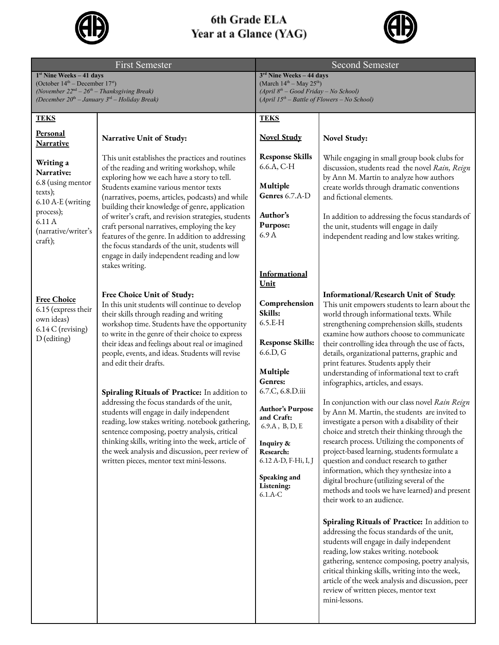

## 6th Grade ELA Year at a Glance (YAG)



| <b>First Semester</b>                                                                                                                                                    |                                                                                                                                                                                                                                                                                                                                                                                                                                                                                                                                                                                                                                                                                                                                                                       | <b>Second Semester</b>                                                                                                                                                                                                                                                                            |                                                                                                                                                                                                                                                                                                                                                                                                                                                                                                                                                                                                                                                                                                                                                                                                                                                                                                                                                                                                                                                                                                                                                                                                                                                                                                                                                                                                                |
|--------------------------------------------------------------------------------------------------------------------------------------------------------------------------|-----------------------------------------------------------------------------------------------------------------------------------------------------------------------------------------------------------------------------------------------------------------------------------------------------------------------------------------------------------------------------------------------------------------------------------------------------------------------------------------------------------------------------------------------------------------------------------------------------------------------------------------------------------------------------------------------------------------------------------------------------------------------|---------------------------------------------------------------------------------------------------------------------------------------------------------------------------------------------------------------------------------------------------------------------------------------------------|----------------------------------------------------------------------------------------------------------------------------------------------------------------------------------------------------------------------------------------------------------------------------------------------------------------------------------------------------------------------------------------------------------------------------------------------------------------------------------------------------------------------------------------------------------------------------------------------------------------------------------------------------------------------------------------------------------------------------------------------------------------------------------------------------------------------------------------------------------------------------------------------------------------------------------------------------------------------------------------------------------------------------------------------------------------------------------------------------------------------------------------------------------------------------------------------------------------------------------------------------------------------------------------------------------------------------------------------------------------------------------------------------------------|
| $1st$ Nine Weeks - 41 days<br>(October $14th$ – December $17st$ )<br>(November $22nd - 26th - Thanksgiving Break$ )<br>(December $20th$ – January $3rd$ – Holiday Break) |                                                                                                                                                                                                                                                                                                                                                                                                                                                                                                                                                                                                                                                                                                                                                                       | 3rd Nine Weeks - 44 days<br>(March $14^{th}$ – May $25^{th}$ )<br>(April 8 <sup>th</sup> - Good Friday - No School)<br>$(April 15th – Battle of Flowers – No School)$                                                                                                                             |                                                                                                                                                                                                                                                                                                                                                                                                                                                                                                                                                                                                                                                                                                                                                                                                                                                                                                                                                                                                                                                                                                                                                                                                                                                                                                                                                                                                                |
| <b>TEKS</b>                                                                                                                                                              |                                                                                                                                                                                                                                                                                                                                                                                                                                                                                                                                                                                                                                                                                                                                                                       | <b>TEKS</b>                                                                                                                                                                                                                                                                                       |                                                                                                                                                                                                                                                                                                                                                                                                                                                                                                                                                                                                                                                                                                                                                                                                                                                                                                                                                                                                                                                                                                                                                                                                                                                                                                                                                                                                                |
| <u>Personal</u><br><b>Narrative</b>                                                                                                                                      | Narrative Unit of Study:                                                                                                                                                                                                                                                                                                                                                                                                                                                                                                                                                                                                                                                                                                                                              | <b>Novel Study</b>                                                                                                                                                                                                                                                                                | Novel Study:                                                                                                                                                                                                                                                                                                                                                                                                                                                                                                                                                                                                                                                                                                                                                                                                                                                                                                                                                                                                                                                                                                                                                                                                                                                                                                                                                                                                   |
| Writing a<br>Narrative:<br>6.8 (using mentor<br>texts);<br>6.10 A-E (writing<br>process);<br>6.11 A<br>(narrative/writer's<br>craft);                                    | This unit establishes the practices and routines<br>of the reading and writing workshop, while<br>exploring how we each have a story to tell.<br>Students examine various mentor texts<br>(narratives, poems, articles, podcasts) and while<br>building their knowledge of genre, application<br>of writer's craft, and revision strategies, students<br>craft personal narratives, employing the key<br>features of the genre. In addition to addressing<br>the focus standards of the unit, students will<br>engage in daily independent reading and low<br>stakes writing.                                                                                                                                                                                         | <b>Response Skills</b><br>6.6.A, C-H<br>Multiple<br>Genres 6.7.A-D<br>Author's<br>Purpose:<br>6.9A<br><b>Informational</b>                                                                                                                                                                        | While engaging in small group book clubs for<br>discussion, students read the novel Rain, Reign<br>by Ann M. Martin to analyze how authors<br>create worlds through dramatic conventions<br>and fictional elements.<br>In addition to addressing the focus standards of<br>the unit, students will engage in daily<br>independent reading and low stakes writing.                                                                                                                                                                                                                                                                                                                                                                                                                                                                                                                                                                                                                                                                                                                                                                                                                                                                                                                                                                                                                                              |
| <b>Free Choice</b><br>6.15 (express their<br>own ideas)<br>6.14 C (revising)<br>D (editing)                                                                              | Free Choice Unit of Study:<br>In this unit students will continue to develop<br>their skills through reading and writing<br>workshop time. Students have the opportunity<br>to write in the genre of their choice to express<br>their ideas and feelings about real or imagined<br>people, events, and ideas. Students will revise<br>and edit their drafts.<br>Spiraling Rituals of Practice: In addition to<br>addressing the focus standards of the unit,<br>students will engage in daily independent<br>reading, low stakes writing. notebook gathering,<br>sentence composing, poetry analysis, critical<br>thinking skills, writing into the week, article of<br>the week analysis and discussion, peer review of<br>written pieces, mentor text mini-lessons. | <u>Unit</u><br>Comprehension<br>Skills:<br>$6.5.E-H$<br><b>Response Skills:</b><br>6.6.D, G<br>Multiple<br>Genres:<br>6.7.C, 6.8.D.iii<br><b>Author's Purpose</b><br>and Craft:<br>$6.9.A$ , B, D, E<br>Inquiry &<br>Research:<br>6.12 A-D, F-Hi, I, J<br>Speaking and<br>Listening:<br>$6.1.A-C$ | Informational/Research Unit of Study.<br>This unit empowers students to learn about the<br>world through informational texts. While<br>strengthening comprehension skills, students<br>examine how authors choose to communicate<br>their controlling idea through the use of facts,<br>details, organizational patterns, graphic and<br>print features. Students apply their<br>understanding of informational text to craft<br>infographics, articles, and essays.<br>In conjunction with our class novel Rain Reign<br>by Ann M. Martin, the students are invited to<br>investigate a person with a disability of their<br>choice and stretch their thinking through the<br>research process. Utilizing the components of<br>project-based learning, students formulate a<br>question and conduct research to gather<br>information, which they synthesize into a<br>digital brochure (utilizing several of the<br>methods and tools we have learned) and present<br>their work to an audience.<br>Spiraling Rituals of Practice: In addition to<br>addressing the focus standards of the unit,<br>students will engage in daily independent<br>reading, low stakes writing. notebook<br>gathering, sentence composing, poetry analysis,<br>critical thinking skills, writing into the week,<br>article of the week analysis and discussion, peer<br>review of written pieces, mentor text<br>mini-lessons. |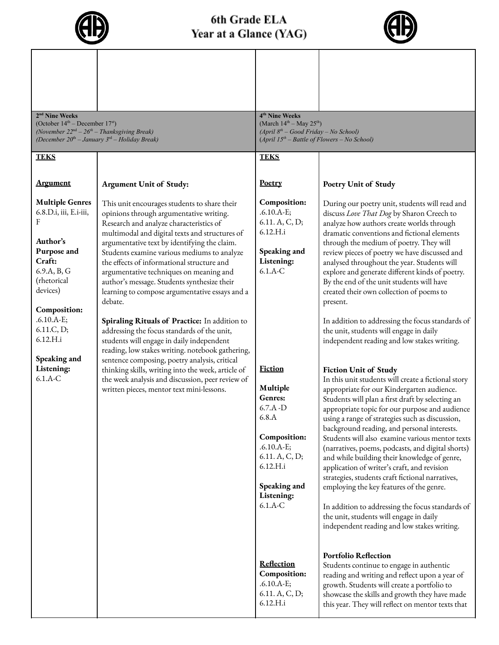

## 6th Grade ELA Year at a Glance (YAG)



| 2 <sup>nd</sup> Nine Weeks<br>(October $14th$ – December $17st$ )<br>(November $22nd - 26th - Thanksgiving Break$ )<br>(December $20th$ – January $3rd$ – Holiday Break)                                                                    |                                                                                                                                                                                                                                                                                                                                                                                                                                                                                                                                                                                                                                                                                                                                                                                                                                                                                                   | 4 <sup>th</sup> Nine Weeks<br>(March $14^{th}$ – May $25^{th}$ )<br>$(April 8th - Good Friday - No School)$<br>$(April 15th – Battle of Flowers – No School)$                                                                                                                      |                                                                                                                                                                                                                                                                                                                                                                                                                                                                                                                                                                                                                                                                                                                                                                                                                                                                                                                                                                                                                                                                                                                                                                                                                                                                                                                                                                                                                                            |
|---------------------------------------------------------------------------------------------------------------------------------------------------------------------------------------------------------------------------------------------|---------------------------------------------------------------------------------------------------------------------------------------------------------------------------------------------------------------------------------------------------------------------------------------------------------------------------------------------------------------------------------------------------------------------------------------------------------------------------------------------------------------------------------------------------------------------------------------------------------------------------------------------------------------------------------------------------------------------------------------------------------------------------------------------------------------------------------------------------------------------------------------------------|------------------------------------------------------------------------------------------------------------------------------------------------------------------------------------------------------------------------------------------------------------------------------------|--------------------------------------------------------------------------------------------------------------------------------------------------------------------------------------------------------------------------------------------------------------------------------------------------------------------------------------------------------------------------------------------------------------------------------------------------------------------------------------------------------------------------------------------------------------------------------------------------------------------------------------------------------------------------------------------------------------------------------------------------------------------------------------------------------------------------------------------------------------------------------------------------------------------------------------------------------------------------------------------------------------------------------------------------------------------------------------------------------------------------------------------------------------------------------------------------------------------------------------------------------------------------------------------------------------------------------------------------------------------------------------------------------------------------------------------|
| <b>TEKS</b>                                                                                                                                                                                                                                 |                                                                                                                                                                                                                                                                                                                                                                                                                                                                                                                                                                                                                                                                                                                                                                                                                                                                                                   | <b>TEKS</b>                                                                                                                                                                                                                                                                        |                                                                                                                                                                                                                                                                                                                                                                                                                                                                                                                                                                                                                                                                                                                                                                                                                                                                                                                                                                                                                                                                                                                                                                                                                                                                                                                                                                                                                                            |
| <b>Argument</b>                                                                                                                                                                                                                             | <b>Argument Unit of Study:</b>                                                                                                                                                                                                                                                                                                                                                                                                                                                                                                                                                                                                                                                                                                                                                                                                                                                                    | Poetry                                                                                                                                                                                                                                                                             | <b>Poetry Unit of Study</b>                                                                                                                                                                                                                                                                                                                                                                                                                                                                                                                                                                                                                                                                                                                                                                                                                                                                                                                                                                                                                                                                                                                                                                                                                                                                                                                                                                                                                |
| <b>Multiple Genres</b><br>6.8.D.i, iii, E.i-iii,<br>Author's<br>Purpose and<br>Craft:<br>6.9.A, B, G<br>(rhetorical<br>devices)<br><b>Composition:</b><br>$.6.10.A-E;$<br>6.11.C, D;<br>6.12.H.i<br>Speaking and<br>Listening:<br>$6.1.A-C$ | This unit encourages students to share their<br>opinions through argumentative writing.<br>Research and analyze characteristics of<br>multimodal and digital texts and structures of<br>argumentative text by identifying the claim.<br>Students examine various mediums to analyze<br>the effects of informational structure and<br>argumentative techniques on meaning and<br>author's message. Students synthesize their<br>learning to compose argumentative essays and a<br>debate.<br>Spiraling Rituals of Practice: In addition to<br>addressing the focus standards of the unit,<br>students will engage in daily independent<br>reading, low stakes writing. notebook gathering,<br>sentence composing, poetry analysis, critical<br>thinking skills, writing into the week, article of<br>the week analysis and discussion, peer review of<br>written pieces, mentor text mini-lessons. | Composition:<br>$.6.10.A-E;$<br>6.11. A, C, D;<br>6.12.H.i<br>Speaking and<br>Listening:<br>$6.1.A-C$<br><b>Fiction</b><br>Multiple<br>Genres:<br>6.7.A.D<br>6.8.A<br><b>Composition:</b><br>$.6.10.A-E;$<br>6.11. A, C, D;<br>6.12.H.i<br>Speaking and<br>Listening:<br>$6.1.A-C$ | During our poetry unit, students will read and<br>discuss Love That Dog by Sharon Creech to<br>analyze how authors create worlds through<br>dramatic conventions and fictional elements<br>through the medium of poetry. They will<br>review pieces of poetry we have discussed and<br>analysed throughout the year. Students will<br>explore and generate different kinds of poetry.<br>By the end of the unit students will have<br>created their own collection of poems to<br>present.<br>In addition to addressing the focus standards of<br>the unit, students will engage in daily<br>independent reading and low stakes writing.<br><b>Fiction Unit of Study</b><br>In this unit students will create a fictional story<br>appropriate for our Kindergarten audience.<br>Students will plan a first draft by selecting an<br>appropriate topic for our purpose and audience<br>using a range of strategies such as discussion,<br>background reading, and personal interests.<br>Students will also examine various mentor texts<br>(narratives, poems, podcasts, and digital shorts)<br>and while building their knowledge of genre,<br>application of writer's craft, and revision<br>strategies, students craft fictional narratives,<br>employing the key features of the genre.<br>In addition to addressing the focus standards of<br>the unit, students will engage in daily<br>independent reading and low stakes writing. |
|                                                                                                                                                                                                                                             |                                                                                                                                                                                                                                                                                                                                                                                                                                                                                                                                                                                                                                                                                                                                                                                                                                                                                                   | <b>Reflection</b><br>Composition:<br>$.6.10.A-E;$<br>6.11. A, C, D;<br>6.12.H.i                                                                                                                                                                                                    | <b>Portfolio Reflection</b><br>Students continue to engage in authentic<br>reading and writing and reflect upon a year of<br>growth. Students will create a portfolio to<br>showcase the skills and growth they have made<br>this year. They will reflect on mentor texts that                                                                                                                                                                                                                                                                                                                                                                                                                                                                                                                                                                                                                                                                                                                                                                                                                                                                                                                                                                                                                                                                                                                                                             |